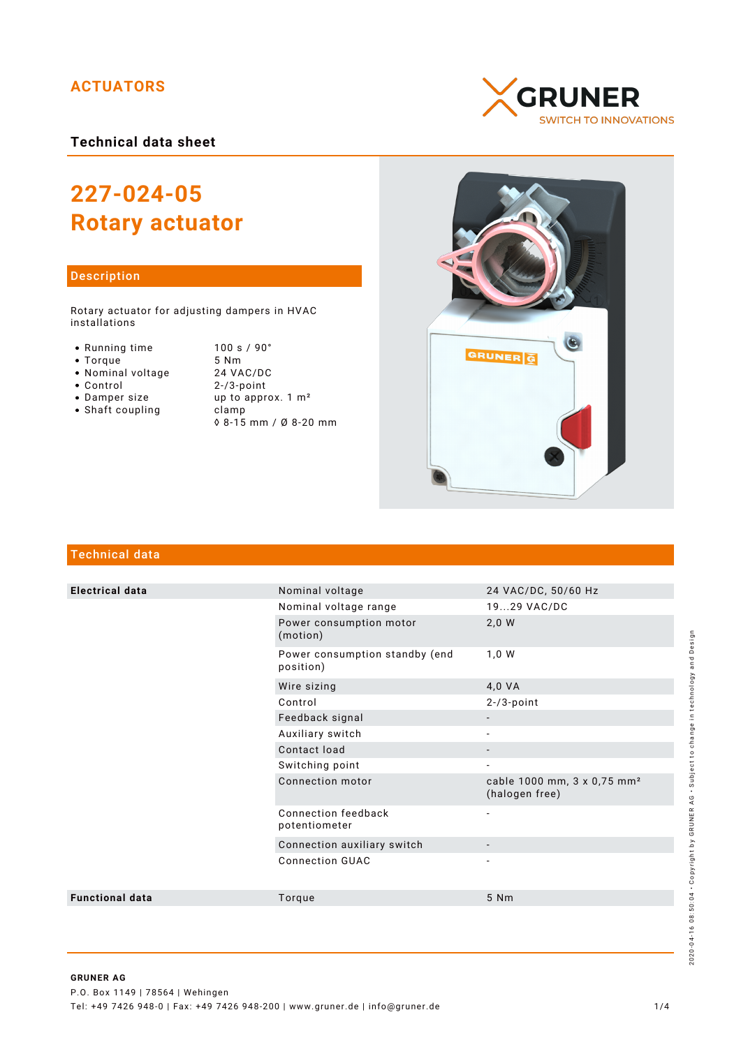## **ACTUATORS**

## **Technical data sheet**

# **227-024-05 Rotary actuator**

#### Description

Rotary actuator for adjusting dampers in HVAC installations

- Running time
- $\bullet$  Torque
- Nominal voltage
- Control
- Damper size
- $\bullet$  Shaft coupling

| 100 s / 90°                   |  |
|-------------------------------|--|
| 5 Nm                          |  |
| 24 VAC/DC                     |  |
| $2 - 3$ -point                |  |
| up to approx. $1 \text{ m}^2$ |  |
| clamp                         |  |
| ◊ 8-15 mm / Ø 8-20 mm         |  |





## Technical data

| <b>Electrical data</b> | Nominal voltage                             | 24 VAC/DC, 50/60 Hz                                       |
|------------------------|---------------------------------------------|-----------------------------------------------------------|
|                        | Nominal voltage range                       | 1929 VAC/DC                                               |
|                        | Power consumption motor<br>(motion)         | $2,0$ W                                                   |
|                        | Power consumption standby (end<br>position) | 1,0 W                                                     |
|                        | Wire sizing                                 | 4,0 VA                                                    |
|                        | Control                                     | $2 - 3$ -point                                            |
|                        | Feedback signal                             |                                                           |
|                        | Auxiliary switch                            |                                                           |
|                        | Contact load                                | $\overline{\phantom{a}}$                                  |
|                        | Switching point                             | $\overline{\phantom{a}}$                                  |
|                        | Connection motor                            | cable 1000 mm, 3 x 0,75 mm <sup>2</sup><br>(halogen free) |
|                        | Connection feedback<br>potentiometer        | $\overline{\phantom{a}}$                                  |
|                        | Connection auxiliary switch                 |                                                           |
|                        | <b>Connection GUAC</b>                      |                                                           |
| <b>Functional data</b> | Torque                                      | 5 Nm                                                      |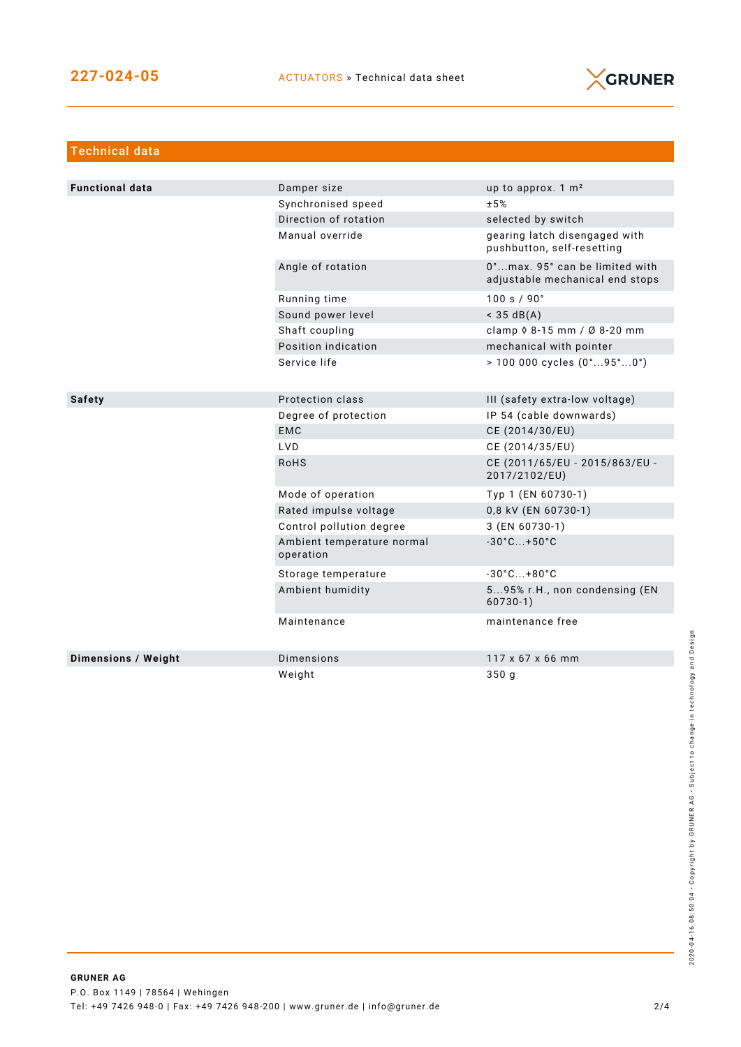

| <b>Technical data</b>  |                                         |                                                                   |
|------------------------|-----------------------------------------|-------------------------------------------------------------------|
|                        |                                         |                                                                   |
| <b>Functional data</b> | Damper size                             | up to approx. 1 m <sup>2</sup>                                    |
|                        | Synchronised speed                      | ±5%                                                               |
|                        | Direction of rotation                   | selected by switch                                                |
|                        | Manual override                         | gearing latch disengaged with<br>pushbutton, self-resetting       |
|                        | Angle of rotation                       | 0°max. 95° can be limited with<br>adjustable mechanical end stops |
|                        | Running time                            | 100 s / 90°                                                       |
|                        | Sound power level                       | $<$ 35 dB(A)                                                      |
|                        | Shaft coupling                          | clamp $\Diamond$ 8-15 mm / Ø 8-20 mm                              |
|                        | Position indication                     | mechanical with pointer                                           |
|                        | Service life                            | $> 100000$ cycles $(0^{\circ}95^{\circ}0^{\circ})$                |
|                        |                                         |                                                                   |
| <b>Safety</b>          | Protection class                        | III (safety extra-low voltage)                                    |
|                        | Degree of protection                    | IP 54 (cable downwards)                                           |
|                        | <b>EMC</b>                              | CE (2014/30/EU)                                                   |
|                        | LVD                                     | CE (2014/35/EU)                                                   |
|                        | <b>RoHS</b>                             | CE (2011/65/EU - 2015/863/EU -<br>2017/2102/EU)                   |
|                        | Mode of operation                       | Typ 1 (EN 60730-1)                                                |
|                        | Rated impulse voltage                   | 0,8 kV (EN 60730-1)                                               |
|                        | Control pollution degree                | 3 (EN 60730-1)                                                    |
|                        | Ambient temperature normal<br>operation | $-30^{\circ}$ C +50 $^{\circ}$ C                                  |
|                        | Storage temperature                     | $-30^{\circ}$ C +80 $^{\circ}$ C                                  |
|                        | Ambient humidity                        | 595% r.H., non condensing (EN<br>$60730-1)$                       |
|                        | Maintenance                             | maintenance free                                                  |
| Dimensions / Weight    | <b>Dimensions</b>                       | 117 x 67 x 66 mm                                                  |
|                        | Weight                                  | 350g                                                              |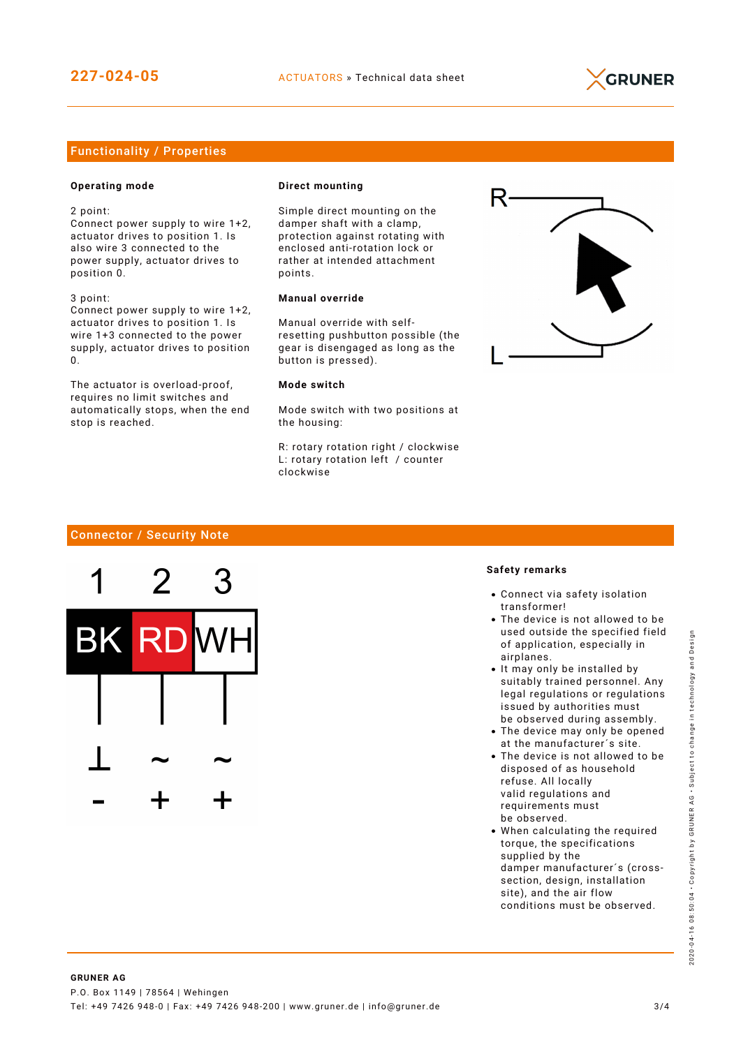

### Functionality / Properties

#### **Operating mode**

2 point:

Connect power supply to wire 1+2, actuator drives to position 1. Is also wire 3 connected to the power supply, actuator drives to position 0.

3 point: Connect power supply to wire 1+2,

actuator drives to position 1. Is wire 1+3 connected to the power supply, actuator drives to position  $\Omega$ 

The actuator is overload-proof, requires no limit switches and automatically stops, when the end stop is reached.

#### **Direct mounting**

Simple direct mounting on the damper shaft with a clamp, protection against rotating with enclosed anti-rotation lock or rather at intended attachment points.

#### **Manual override**

Manual override with selfresetting pushbutton possible (the gear is disengaged as long as the button is pressed).

#### **Mode switch**

Mode switch with two positions at the housing:

R: rotary rotation right / clockwise L: rotary rotation left / counter clockwise



#### Connector / Security Note



#### **Safety remarks**

- Connect via safety isolation transformer!
- The device is not allowed to be used outside the specified field of application, especially in airplanes.
- It may only be installed by suitably trained personnel. Any legal regulations or regulations issued by authorities must be observed during assembly.
- The device may only be opened at the manufacturer´s site.
- The device is not allowed to be disposed of as household refuse. All locally valid regulations and requirements must be observed.
- When calculating the required torque, the specifications supplied by the damper manufacturer´s (crosssection, design, installation site), and the air flow conditions must be observed.